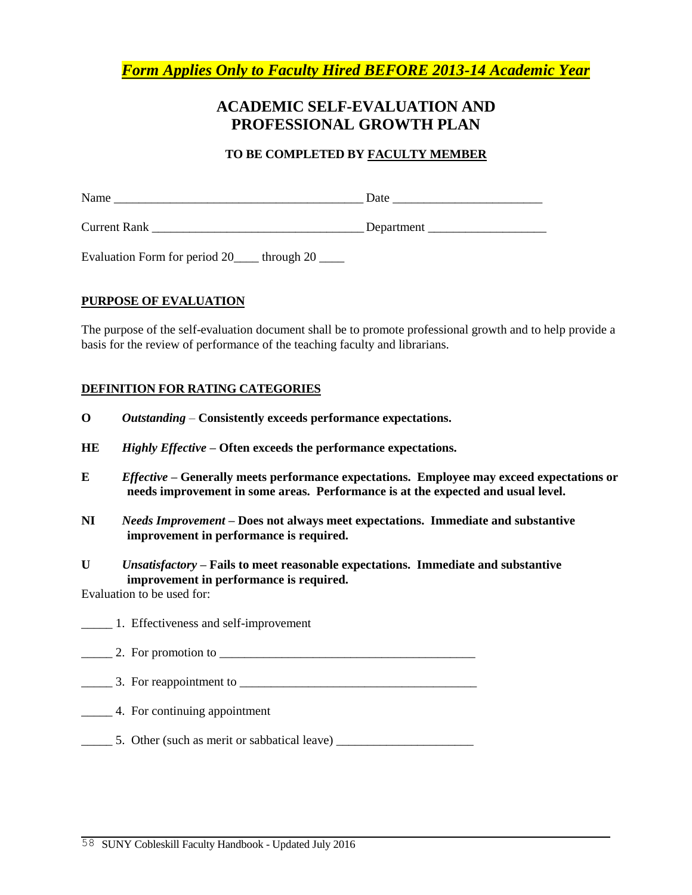*Form Applies Only to Faculty Hired BEFORE 2013-14 Academic Year*

## **ACADEMIC SELF-EVALUATION AND PROFESSIONAL GROWTH PLAN**

### **TO BE COMPLETED BY FACULTY MEMBER**

| Name                | Date       |
|---------------------|------------|
| <b>Current Rank</b> | Department |

Evaluation Form for period 20\_\_\_\_ through 20 \_\_\_\_

### **PURPOSE OF EVALUATION**

The purpose of the self-evaluation document shall be to promote professional growth and to help provide a basis for the review of performance of the teaching faculty and librarians.

### **DEFINITION FOR RATING CATEGORIES**

- **O** *Outstanding –* **Consistently exceeds performance expectations.**
- **HE** *Highly Effective* **– Often exceeds the performance expectations.**
- **E** *Effective* **– Generally meets performance expectations. Employee may exceed expectations or needs improvement in some areas. Performance is at the expected and usual level.**
- **NI** *Needs Improvement* **– Does not always meet expectations. Immediate and substantive improvement in performance is required.**
- **U** *Unsatisfactory* **– Fails to meet reasonable expectations. Immediate and substantive improvement in performance is required.**

Evaluation to be used for:

- \_\_\_\_\_ 1. Effectiveness and self-improvement
- $\frac{1}{2}$  Por promotion to  $\frac{1}{2}$  Por  $\frac{1}{2}$  Por  $\frac{1}{2}$  Por  $\frac{1}{2}$  Por  $\frac{1}{2}$  Por  $\frac{1}{2}$  Por  $\frac{1}{2}$  Por  $\frac{1}{2}$  Por  $\frac{1}{2}$  Por  $\frac{1}{2}$  Por  $\frac{1}{2}$  Por  $\frac{1}{2}$  Por  $\frac{1}{2}$  Por  $\frac{1}{2}$  Po
- \_\_\_\_\_ 3. For reappointment to \_\_\_\_\_\_\_\_\_\_\_\_\_\_\_\_\_\_\_\_\_\_\_\_\_\_\_\_\_\_\_\_\_\_\_\_\_\_
- \_\_\_\_\_ 4. For continuing appointment
- \_\_\_\_\_ 5. Other (such as merit or sabbatical leave) \_\_\_\_\_\_\_\_\_\_\_\_\_\_\_\_\_\_\_\_\_\_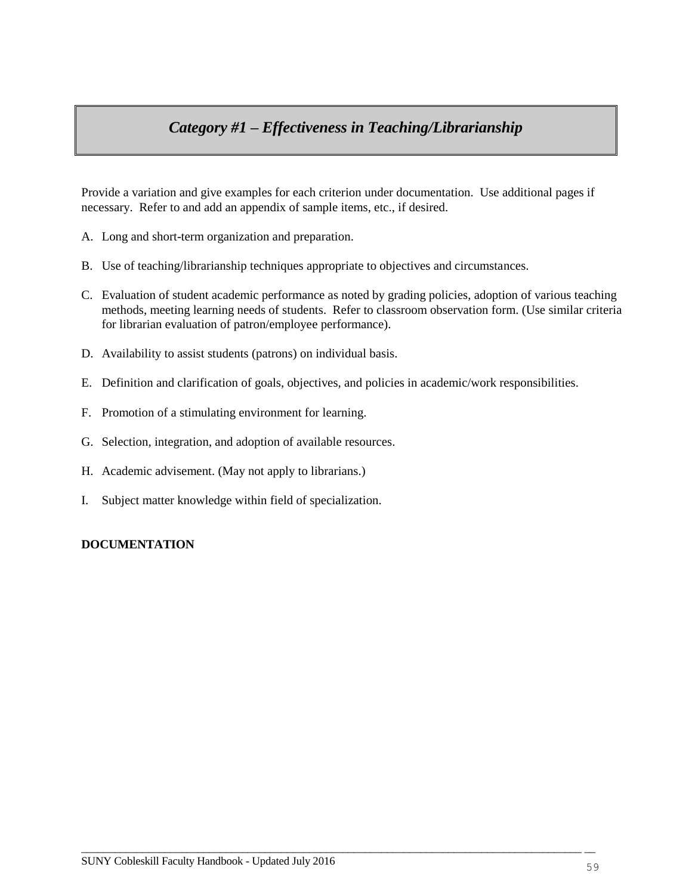# *Category #1 – Effectiveness in Teaching/Librarianship*

Provide a variation and give examples for each criterion under documentation. Use additional pages if necessary. Refer to and add an appendix of sample items, etc., if desired.

- A. Long and short-term organization and preparation.
- B. Use of teaching/librarianship techniques appropriate to objectives and circumstances.
- C. Evaluation of student academic performance as noted by grading policies, adoption of various teaching methods, meeting learning needs of students. Refer to classroom observation form. (Use similar criteria for librarian evaluation of patron/employee performance).
- D. Availability to assist students (patrons) on individual basis.
- E. Definition and clarification of goals, objectives, and policies in academic/work responsibilities.

 $\overline{\phantom{a}}$  , and the contribution of the contribution of the contribution of the contribution of the contribution of the contribution of the contribution of the contribution of the contribution of the contribution of the

- F. Promotion of a stimulating environment for learning.
- G. Selection, integration, and adoption of available resources.
- H. Academic advisement. (May not apply to librarians.)
- I. Subject matter knowledge within field of specialization.

### **DOCUMENTATION**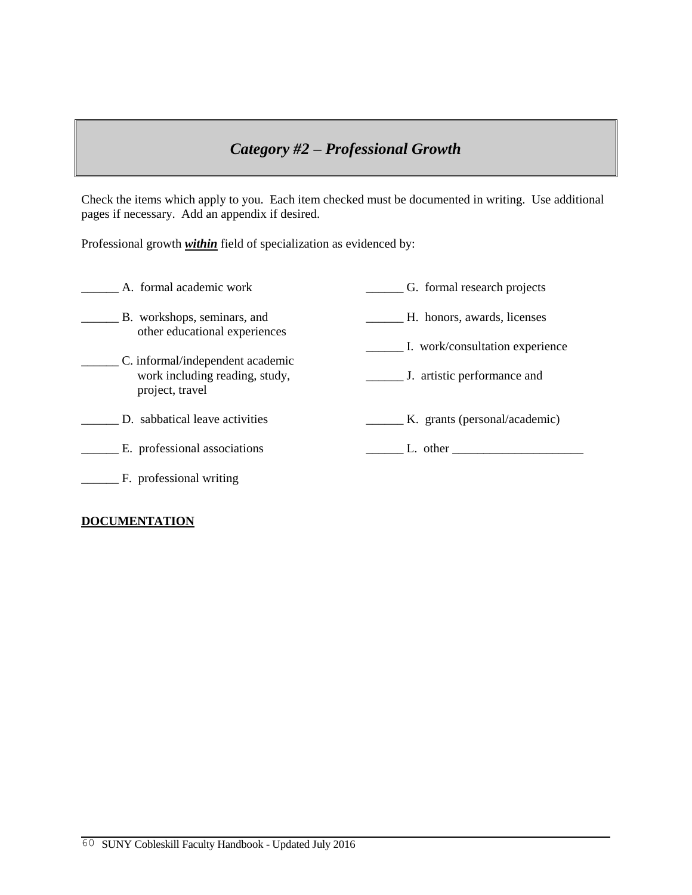## *Category #2 – Professional Growth*

Check the items which apply to you. Each item checked must be documented in writing. Use additional pages if necessary. Add an appendix if desired.

Professional growth *within* field of specialization as evidenced by:

| A. formal academic work                                                               | G. formal research projects                                                                                                                                                                                                   |
|---------------------------------------------------------------------------------------|-------------------------------------------------------------------------------------------------------------------------------------------------------------------------------------------------------------------------------|
| B. workshops, seminars, and<br>other educational experiences                          | H. honors, awards, licenses                                                                                                                                                                                                   |
|                                                                                       | I. work/consultation experience                                                                                                                                                                                               |
| C. informal/independent academic<br>work including reading, study,<br>project, travel | J. artistic performance and                                                                                                                                                                                                   |
| D. sabbatical leave activities                                                        | K. grants (personal/academic)                                                                                                                                                                                                 |
| E. professional associations                                                          | L. other that the contract of the contract of the contract of the contract of the contract of the contract of the contract of the contract of the contract of the contract of the contract of the contract of the contract of |
| F. professional writing                                                               |                                                                                                                                                                                                                               |

## **DOCUMENTATION**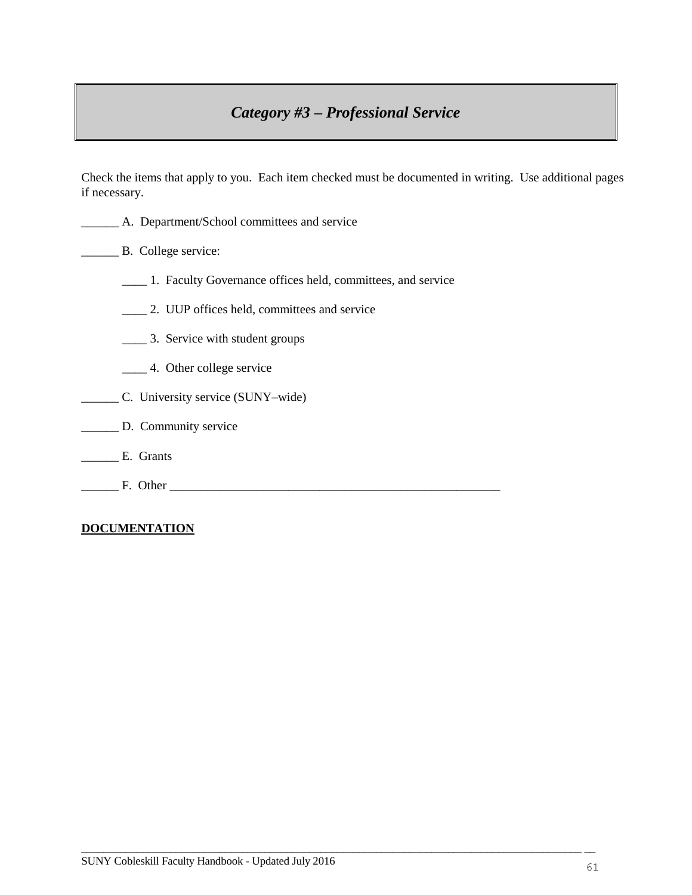# *Category #3 – Professional Service*

Check the items that apply to you. Each item checked must be documented in writing. Use additional pages if necessary.

- \_\_\_\_\_\_ A. Department/School committees and service
- **EXECUTE:** B. College service:
	- \_\_\_\_ 1. Faculty Governance offices held, committees, and service
	- \_\_\_\_ 2. UUP offices held, committees and service
	- \_\_\_\_ 3. Service with student groups
	- \_\_\_\_ 4. Other college service
- \_\_\_\_\_\_ C. University service (SUNY–wide)
- \_\_\_\_\_\_\_ D. Community service
- \_\_\_\_\_\_ E. Grants
- \_\_\_\_\_\_ F. Other \_\_\_\_\_\_\_\_\_\_\_\_\_\_\_\_\_\_\_\_\_\_\_\_\_\_\_\_\_\_\_\_\_\_\_\_\_\_\_\_\_\_\_\_\_\_\_\_\_\_\_\_\_

### **DOCUMENTATION**

 $\overline{\phantom{a}}$  , and the contribution of the contribution of the contribution of the contribution of the contribution of the contribution of the contribution of the contribution of the contribution of the contribution of the